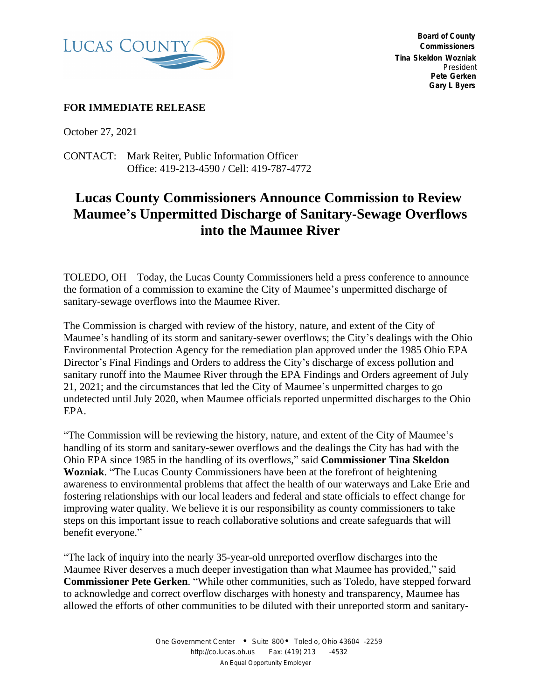

 **Board of County Commissioners Tina Skeldon Wozniak** *President* **Pete Gerken Gary L Byers**

## **FOR IMMEDIATE RELEASE**

October 27, 2021

CONTACT: Mark Reiter, Public Information Officer Office: 419-213-4590 / Cell: 419-787-4772

## **Lucas County Commissioners Announce Commission to Review Maumee's Unpermitted Discharge of Sanitary-Sewage Overflows into the Maumee River**

TOLEDO, OH – Today, the Lucas County Commissioners held a press conference to announce the formation of a commission to examine the City of Maumee's unpermitted discharge of sanitary-sewage overflows into the Maumee River.

The Commission is charged with review of the history, nature, and extent of the City of Maumee's handling of its storm and sanitary-sewer overflows; the City's dealings with the Ohio Environmental Protection Agency for the remediation plan approved under the 1985 Ohio EPA Director's Final Findings and Orders to address the City's discharge of excess pollution and sanitary runoff into the Maumee River through the EPA Findings and Orders agreement of July 21, 2021; and the circumstances that led the City of Maumee's unpermitted charges to go undetected until July 2020, when Maumee officials reported unpermitted discharges to the Ohio EPA.

"The Commission will be reviewing the history, nature, and extent of the City of Maumee's handling of its storm and sanitary-sewer overflows and the dealings the City has had with the Ohio EPA since 1985 in the handling of its overflows," said **Commissioner Tina Skeldon Wozniak**. "The Lucas County Commissioners have been at the forefront of heightening awareness to environmental problems that affect the health of our waterways and Lake Erie and fostering relationships with our local leaders and federal and state officials to effect change for improving water quality. We believe it is our responsibility as county commissioners to take steps on this important issue to reach collaborative solutions and create safeguards that will benefit everyone."

"The lack of inquiry into the nearly 35-year-old unreported overflow discharges into the Maumee River deserves a much deeper investigation than what Maumee has provided," said **Commissioner Pete Gerken**. "While other communities, such as Toledo, have stepped forward to acknowledge and correct overflow discharges with honesty and transparency, Maumee has allowed the efforts of other communities to be diluted with their unreported storm and sanitary-